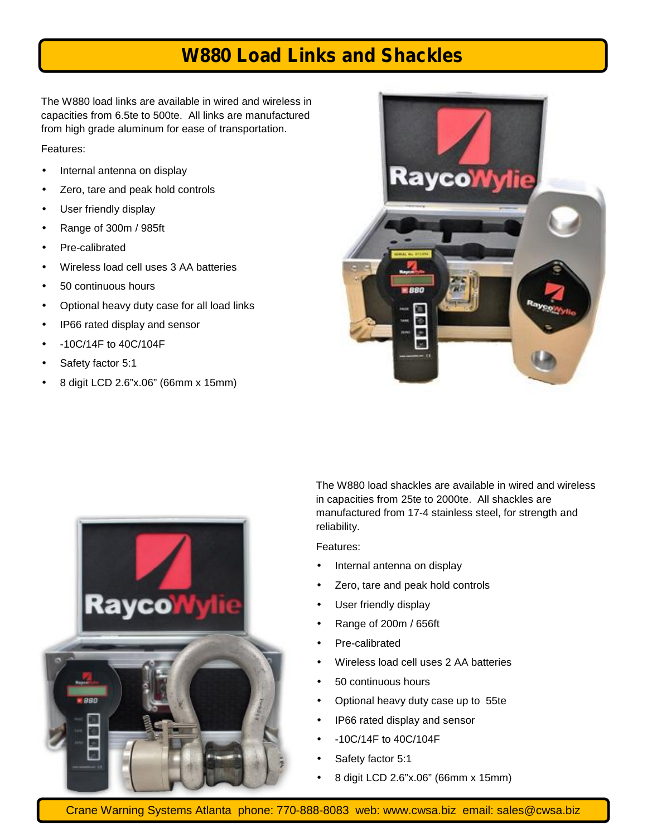## **W880 Load Links and Shackles**

The W880 load links are available in wired and wireless in capacities from 6.5te to 500te. All links are manufactured from high grade aluminum for ease of transportation.

#### Features:

- Internal antenna on display
- Zero, tare and peak hold controls
- User friendly display
- Range of 300m / 985ft
- Pre-calibrated
- Wireless load cell uses 3 AA batteries
- 50 continuous hours
- Optional heavy duty case for all load links
- $\int$  IP66 rated display and sensor
- -10C/14F to 40C/104F
- Safety factor 5:1
- 8 digit LCD 2.6"x.06" (66mm x 15mm)





The W880 load shackles are available in wired and wireless in capacities from 25te to 2000te. All shackles are manufactured from 17-4 stainless steel, for strength and reliability.

Features:

- $\int$  Internal antenna on display
- Zero, tare and peak hold controls
- User friendly display
- Range of 200m / 656ft
- Pre-calibrated
- Wireless load cell uses 2 AA batteries
- 50 continuous hours
- Optional heavy duty case up to 55te
	- IP66 rated display and sensor
	- -10C/14F to 40C/104F
	- Safety factor 5:1
- 8 digit LCD 2.6"x.06" (66mm x 15mm)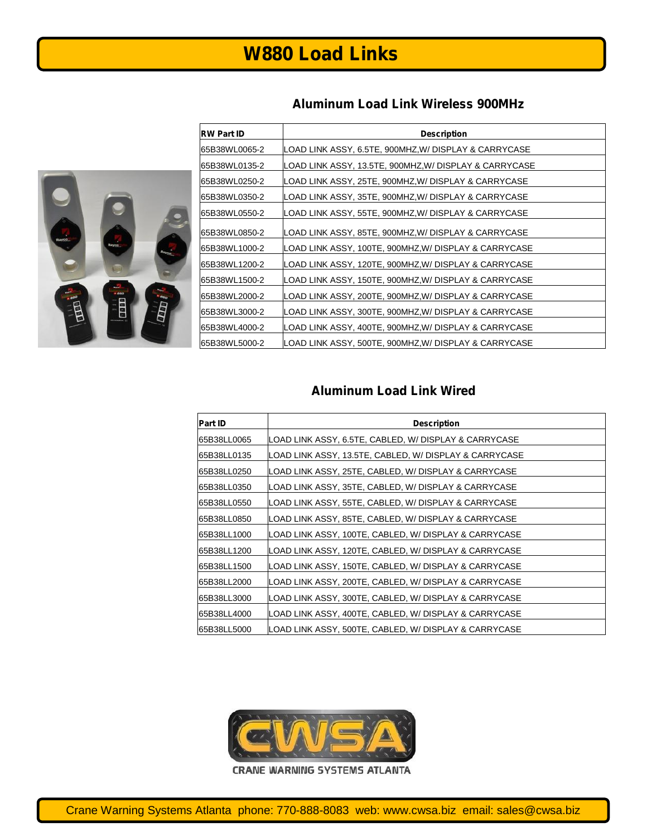### **Aluminum Load Link Wireless 900MHz**





| <b>Part ID</b> | <b>Description</b>                                     |
|----------------|--------------------------------------------------------|
| 65B38LL0065    | LOAD LINK ASSY, 6.5TE, CABLED, W/ DISPLAY & CARRYCASE  |
| 65B38LL0135    | LOAD LINK ASSY, 13.5TE, CABLED, W/ DISPLAY & CARRYCASE |
| 65B38LL0250    | LOAD LINK ASSY, 25TE, CABLED, W/ DISPLAY & CARRYCASE   |
| 65B38LL0350    | LOAD LINK ASSY, 35TE, CABLED, W/ DISPLAY & CARRYCASE   |
| 65B38LL0550    | LOAD LINK ASSY, 55TE, CABLED, W/ DISPLAY & CARRYCASE   |
| 65B38LL0850    | LOAD LINK ASSY, 85TE, CABLED, W/ DISPLAY & CARRYCASE   |
| 65B38LL1000    | LOAD LINK ASSY, 100TE, CABLED, W/ DISPLAY & CARRYCASE  |
| 65B38LL1200    | LOAD LINK ASSY, 120TE, CABLED, W/ DISPLAY & CARRYCASE  |
| 65B38LL1500    | LOAD LINK ASSY, 150TE, CABLED, W/ DISPLAY & CARRYCASE  |
| 65B38LL2000    | LOAD LINK ASSY, 200TE, CABLED, W/ DISPLAY & CARRYCASE  |
| 65B38LL3000    | LOAD LINK ASSY, 300TE, CABLED, W/ DISPLAY & CARRYCASE  |
| 65B38LL4000    | LOAD LINK ASSY, 400TE, CABLED, W/ DISPLAY & CARRYCASE  |
| 65B38LL5000    | LOAD LINK ASSY, 500TE, CABLED, W/ DISPLAY & CARRYCASE  |